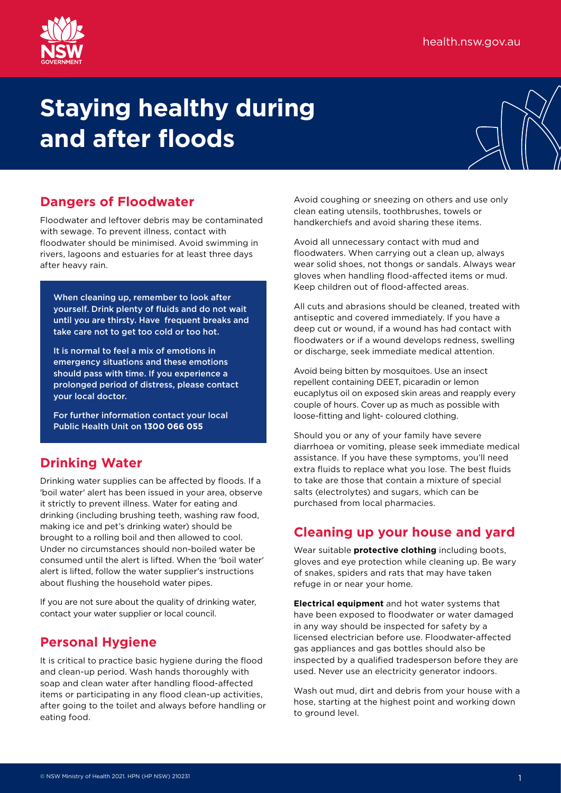

# **Staying healthy during and after floods**



### **Dangers of Floodwater**

Floodwater and leftover debris may be contaminated with sewage. To prevent illness, contact with floodwater should be minimised. Avoid swimming in rivers, lagoons and estuaries for at least three days after heavy rain.

When cleaning up, remember to look after yourself. Drink plenty of fluids and do not wait until you are thirsty. Have frequent breaks and take care not to get too cold or too hot.

It is normal to feel a mix of emotions in emergency situations and these emotions should pass with time. If you experience a prolonged period of distress, please contact your local doctor.

For further information contact your local Public Health Unit on **1300 066 055**

# **Drinking Water**

Drinking water supplies can be affected by floods. If a 'boil water' alert has been issued in your area, observe it strictly to prevent illness. Water for eating and drinking (including brushing teeth, washing raw food, making ice and pet's drinking water) should be brought to a rolling boil and then allowed to cool. Under no circumstances should non-boiled water be consumed until the alert is lifted. When the 'boil water' alert is lifted, follow the water supplier's instructions about flushing the household water pipes.

If you are not sure about the quality of drinking water, contact your water supplier or local council.

#### **Personal Hygiene**

It is critical to practice basic hygiene during the flood and clean-up period. Wash hands thoroughly with soap and clean water after handling flood-affected items or participating in any flood clean-up activities, after going to the toilet and always before handling or eating food.

Avoid coughing or sneezing on others and use only clean eating utensils, toothbrushes, towels or handkerchiefs and avoid sharing these items.

Avoid all unnecessary contact with mud and floodwaters. When carrying out a clean up, always wear solid shoes, not thongs or sandals. Always wear gloves when handling flood-affected items or mud. Keep children out of flood-affected areas.

All cuts and abrasions should be cleaned, treated with antiseptic and covered immediately. If you have a deep cut or wound, if a wound has had contact with floodwaters or if a wound develops redness, swelling or discharge, seek immediate medical attention.

Avoid being bitten by mosquitoes. Use an insect repellent containing DEET, picaradin or lemon eucaplytus oil on exposed skin areas and reapply every couple of hours. Cover up as much as possible with loose-fitting and light- coloured clothing.

Should you or any of your family have severe diarrhoea or vomiting, please seek immediate medical assistance. If you have these symptoms, you'll need extra fluids to replace what you lose. The best fluids to take are those that contain a mixture of special salts (electrolytes) and sugars, which can be purchased from local pharmacies.

# **Cleaning up your house and yard**

Wear suitable **protective clothing** including boots, gloves and eye protection while cleaning up. Be wary of snakes, spiders and rats that may have taken refuge in or near your home.

**Electrical equipment** and hot water systems that have been exposed to floodwater or water damaged in any way should be inspected for safety by a licensed electrician before use. Floodwater-affected gas appliances and gas bottles should also be inspected by a qualified tradesperson before they are used. Never use an electricity generator indoors.

Wash out mud, dirt and debris from your house with a hose, starting at the highest point and working down to ground level.